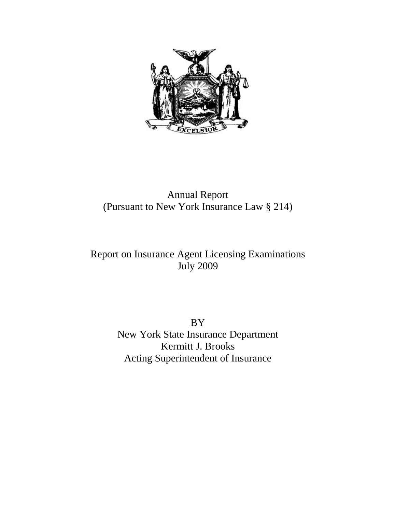

# Annual Report (Pursuant to New York Insurance Law § 214)

# Report on Insurance Agent Licensing Examinations July 2009

BY New York State Insurance Department Kermitt J. Brooks Acting Superintendent of Insurance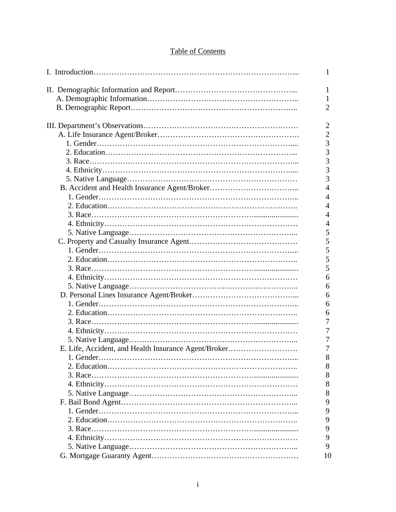# Table of Contents

|                                                      | 1              |
|------------------------------------------------------|----------------|
|                                                      | 1              |
|                                                      | 1              |
|                                                      | $\overline{2}$ |
|                                                      |                |
|                                                      | $\overline{2}$ |
|                                                      | $\overline{2}$ |
|                                                      | 3              |
|                                                      | $\overline{3}$ |
|                                                      | $\overline{3}$ |
|                                                      | 3              |
|                                                      | 3              |
|                                                      | $\overline{4}$ |
|                                                      | $\overline{4}$ |
|                                                      | $\overline{4}$ |
|                                                      | $\overline{4}$ |
|                                                      | $\overline{4}$ |
|                                                      | 5              |
|                                                      | 5              |
|                                                      | 5              |
|                                                      | 5              |
|                                                      | 5              |
|                                                      | 6              |
|                                                      | 6              |
|                                                      | 6              |
|                                                      | 6              |
|                                                      | 6              |
|                                                      | 7              |
|                                                      | $\overline{7}$ |
|                                                      | $\overline{7}$ |
| E. Life, Accident, and Health Insurance Agent/Broker | 7              |
|                                                      | 8              |
|                                                      | 8              |
|                                                      | 8              |
|                                                      | 8              |
|                                                      | 8              |
|                                                      | 9              |
|                                                      | 9              |
|                                                      | 9              |
|                                                      | 9              |
|                                                      | 9              |
|                                                      | 9              |
|                                                      | 10             |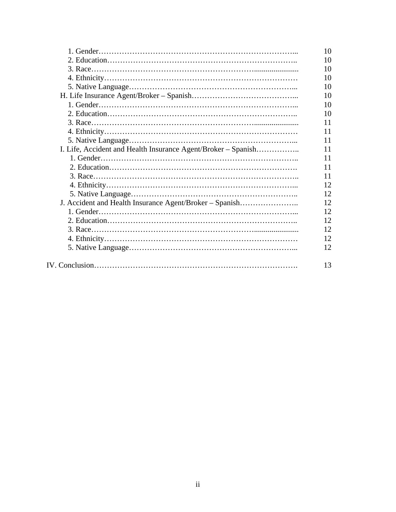|                                                               | 10 |
|---------------------------------------------------------------|----|
|                                                               | 10 |
|                                                               | 10 |
|                                                               | 10 |
|                                                               | 10 |
|                                                               | 10 |
|                                                               | 10 |
|                                                               | 10 |
|                                                               | 11 |
|                                                               | 11 |
|                                                               | 11 |
| I. Life, Accident and Health Insurance Agent/Broker – Spanish | 11 |
|                                                               | 11 |
|                                                               | 11 |
|                                                               | 11 |
|                                                               | 12 |
|                                                               | 12 |
| J. Accident and Health Insurance Agent/Broker - Spanish       | 12 |
|                                                               | 12 |
|                                                               | 12 |
|                                                               | 12 |
|                                                               | 12 |
|                                                               | 12 |
|                                                               |    |
|                                                               | 13 |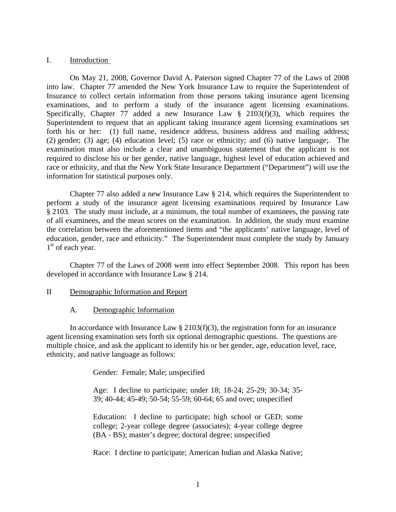#### I. Introduction

 On May 21, 2008, Governor David A. Paterson signed Chapter 77 of the Laws of 2008 into law. Chapter 77 amended the New York Insurance Law to require the Superintendent of Insurance to collect certain information from those persons taking insurance agent licensing examinations, and to perform a study of the insurance agent licensing examinations. Specifically, Chapter 77 added a new Insurance Law  $\S$  2103(f)(3), which requires the Superintendent to request that an applicant taking insurance agent licensing examinations set forth his or her: (1) full name, residence address, business address and mailing address; (2) gender; (3) age; (4) education level; (5) race or ethnicity; and (6) native language;. The examination must also include a clear and unambiguous statement that the applicant is not required to disclose his or her gender, native language, highest level of education achieved and race or ethnicity, and that the New York State Insurance Department ("Department") will use the information for statistical purposes only.

 Chapter 77 also added a new Insurance Law § 214, which requires the Superintendent to perform a study of the insurance agent licensing examinations required by Insurance Law § 2103. The study must include, at a minimum, the total number of examinees, the passing rate of all examinees, and the mean scores on the examination. In addition, the study must examine the correlation between the aforementioned items and "the applicants' native language, level of education, gender, race and ethnicity." The Superintendent must complete the study by January  $1<sup>st</sup>$  of each year.

 Chapter 77 of the Laws of 2008 went into effect September 2008. This report has been developed in accordance with Insurance Law § 214.

- II Demographic Information and Report
	- A. Demographic Information

In accordance with Insurance Law  $\S 2103(f)(3)$ , the registration form for an insurance agent licensing examination sets forth six optional demographic questions. The questions are multiple choice, and ask the applicant to identify his or her gender, age, education level, race, ethnicity, and native language as follows:

Gender: Female; Male; unspecified

Age: I decline to participate; under 18; 18-24; 25-29; 30-34; 35- 39; 40-44; 45-49; 50-54; 55-59; 60-64; 65 and over; unspecified

Education: I decline to participate; high school or GED; some college; 2-year college degree (associates); 4-year college degree (BA - BS); master's degree; doctoral degree; unspecified

Race: I decline to participate; American Indian and Alaska Native;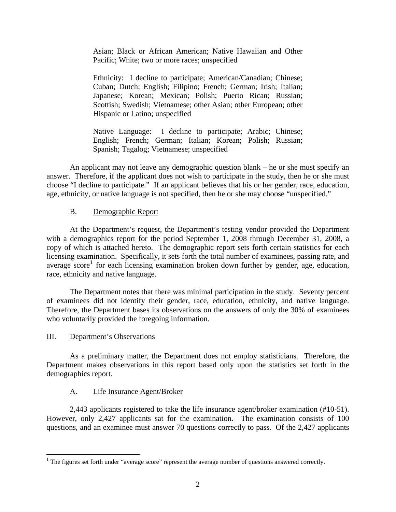Asian; Black or African American; Native Hawaiian and Other Pacific; White; two or more races; unspecified

Ethnicity: I decline to participate; American/Canadian; Chinese; Cuban; Dutch; English; Filipino; French; German; Irish; Italian; Japanese; Korean; Mexican; Polish; Puerto Rican; Russian; Scottish; Swedish; Vietnamese; other Asian; other European; other Hispanic or Latino; unspecified

Native Language: I decline to participate; Arabic; Chinese; English; French; German; Italian; Korean; Polish; Russian; Spanish; Tagalog; Vietnamese; unspecified

An applicant may not leave any demographic question blank – he or she must specify an answer. Therefore, if the applicant does not wish to participate in the study, then he or she must choose "I decline to participate." If an applicant believes that his or her gender, race, education, age, ethnicity, or native language is not specified, then he or she may choose "unspecified."

# B. Demographic Report

 At the Department's request, the Department's testing vendor provided the Department with a demographics report for the period September 1, 2008 through December 31, 2008, a copy of which is attached hereto. The demographic report sets forth certain statistics for each licensing examination. Specifically, it sets forth the total number of examinees, passing rate, and average score<sup>[1](#page-4-0)</sup> for each licensing examination broken down further by gender, age, education, race, ethnicity and native language.

 The Department notes that there was minimal participation in the study. Seventy percent of examinees did not identify their gender, race, education, ethnicity, and native language. Therefore, the Department bases its observations on the answers of only the 30% of examinees who voluntarily provided the foregoing information.

# III. Department's Observations

<u>.</u>

As a preliminary matter, the Department does not employ statisticians. Therefore, the Department makes observations in this report based only upon the statistics set forth in the demographics report.

# A.Life Insurance Agent/Broker

 2,443 applicants registered to take the life insurance agent/broker examination (#10-51). However, only 2,427 applicants sat for the examination. The examination consists of 100 questions, and an examinee must answer 70 questions correctly to pass. Of the 2,427 applicants

<span id="page-4-0"></span> $<sup>1</sup>$  The figures set forth under "average score" represent the average number of questions answered correctly.</sup>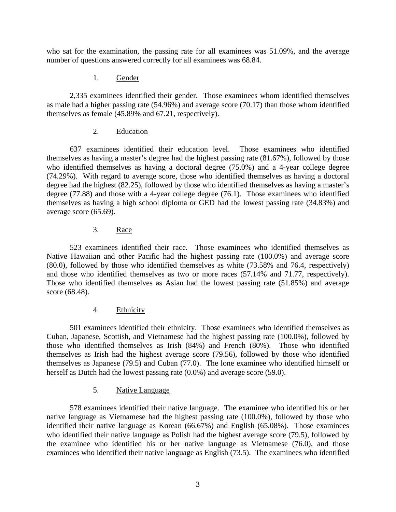who sat for the examination, the passing rate for all examinees was 51.09%, and the average number of questions answered correctly for all examinees was 68.84.

## 1. Gender

 2,335 examinees identified their gender. Those examinees whom identified themselves as male had a higher passing rate (54.96%) and average score (70.17) than those whom identified themselves as female (45.89% and 67.21, respectively).

## 2. Education

 637 examinees identified their education level. Those examinees who identified themselves as having a master's degree had the highest passing rate (81.67%), followed by those who identified themselves as having a doctoral degree (75.0%) and a 4-year college degree (74.29%). With regard to average score, those who identified themselves as having a doctoral degree had the highest (82.25), followed by those who identified themselves as having a master's degree (77.88) and those with a 4-year college degree (76.1). Those examinees who identified themselves as having a high school diploma or GED had the lowest passing rate (34.83%) and average score (65.69).

## 3. Race

 523 examinees identified their race. Those examinees who identified themselves as Native Hawaiian and other Pacific had the highest passing rate (100.0%) and average score (80.0), followed by those who identified themselves as white (73.58% and 76.4, respectively) and those who identified themselves as two or more races (57.14% and 71.77, respectively). Those who identified themselves as Asian had the lowest passing rate (51.85%) and average score (68.48).

# 4. Ethnicity

 501 examinees identified their ethnicity. Those examinees who identified themselves as Cuban, Japanese, Scottish, and Vietnamese had the highest passing rate (100.0%), followed by those who identified themselves as Irish (84%) and French (80%). Those who identified themselves as Irish had the highest average score (79.56), followed by those who identified themselves as Japanese (79.5) and Cuban (77.0). The lone examinee who identified himself or herself as Dutch had the lowest passing rate (0.0%) and average score (59.0).

# 5. Native Language

 578 examinees identified their native language. The examinee who identified his or her native language as Vietnamese had the highest passing rate (100.0%), followed by those who identified their native language as Korean (66.67%) and English (65.08%). Those examinees who identified their native language as Polish had the highest average score (79.5), followed by the examinee who identified his or her native language as Vietnamese (76.0), and those examinees who identified their native language as English (73.5). The examinees who identified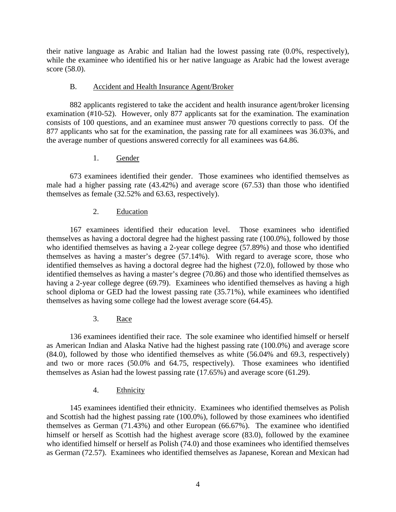their native language as Arabic and Italian had the lowest passing rate (0.0%, respectively), while the examinee who identified his or her native language as Arabic had the lowest average score (58.0).

#### B. Accident and Health Insurance Agent/Broker

 882 applicants registered to take the accident and health insurance agent/broker licensing examination (#10-52). However, only 877 applicants sat for the examination. The examination consists of 100 questions, and an examinee must answer 70 questions correctly to pass. Of the 877 applicants who sat for the examination, the passing rate for all examinees was 36.03%, and the average number of questions answered correctly for all examinees was 64.86.

## 1. Gender

 673 examinees identified their gender. Those examinees who identified themselves as male had a higher passing rate (43.42%) and average score (67.53) than those who identified themselves as female (32.52% and 63.63, respectively).

# 2. Education

 167 examinees identified their education level. Those examinees who identified themselves as having a doctoral degree had the highest passing rate (100.0%), followed by those who identified themselves as having a 2-year college degree (57.89%) and those who identified themselves as having a master's degree (57.14%). With regard to average score, those who identified themselves as having a doctoral degree had the highest (72.0), followed by those who identified themselves as having a master's degree (70.86) and those who identified themselves as having a 2-year college degree (69.79). Examinees who identified themselves as having a high school diploma or GED had the lowest passing rate (35.71%), while examinees who identified themselves as having some college had the lowest average score (64.45).

# 3. Race

 136 examinees identified their race. The sole examinee who identified himself or herself as American Indian and Alaska Native had the highest passing rate (100.0%) and average score (84.0), followed by those who identified themselves as white (56.04% and 69.3, respectively) and two or more races (50.0% and 64.75, respectively). Those examinees who identified themselves as Asian had the lowest passing rate (17.65%) and average score (61.29).

# 4. Ethnicity

 145 examinees identified their ethnicity. Examinees who identified themselves as Polish and Scottish had the highest passing rate (100.0%), followed by those examinees who identified themselves as German (71.43%) and other European (66.67%). The examinee who identified himself or herself as Scottish had the highest average score  $(83.0)$ , followed by the examinee who identified himself or herself as Polish (74.0) and those examinees who identified themselves as German (72.57). Examinees who identified themselves as Japanese, Korean and Mexican had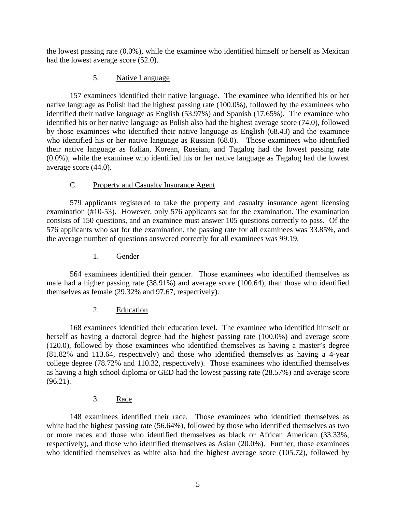the lowest passing rate (0.0%), while the examinee who identified himself or herself as Mexican had the lowest average score (52.0).

## 5. Native Language

 157 examinees identified their native language. The examinee who identified his or her native language as Polish had the highest passing rate (100.0%), followed by the examinees who identified their native language as English (53.97%) and Spanish (17.65%). The examinee who identified his or her native language as Polish also had the highest average score (74.0), followed by those examinees who identified their native language as English (68.43) and the examinee who identified his or her native language as Russian (68.0). Those examinees who identified their native language as Italian, Korean, Russian, and Tagalog had the lowest passing rate (0.0%), while the examinee who identified his or her native language as Tagalog had the lowest average score (44.0).

# C. Property and Casualty Insurance Agent

 579 applicants registered to take the property and casualty insurance agent licensing examination (#10-53). However, only 576 applicants sat for the examination. The examination consists of 150 questions, and an examinee must answer 105 questions correctly to pass. Of the 576 applicants who sat for the examination, the passing rate for all examinees was 33.85%, and the average number of questions answered correctly for all examinees was 99.19.

# 1. Gender

 564 examinees identified their gender. Those examinees who identified themselves as male had a higher passing rate (38.91%) and average score (100.64), than those who identified themselves as female (29.32% and 97.67, respectively).

#### 2. Education

 168 examinees identified their education level. The examinee who identified himself or herself as having a doctoral degree had the highest passing rate (100.0%) and average score (120.0), followed by those examinees who identified themselves as having a master's degree (81.82% and 113.64, respectively) and those who identified themselves as having a 4-year college degree (78.72% and 110.32, respectively). Those examinees who identified themselves as having a high school diploma or GED had the lowest passing rate (28.57%) and average score (96.21).

#### 3. Race

 148 examinees identified their race. Those examinees who identified themselves as white had the highest passing rate (56.64%), followed by those who identified themselves as two or more races and those who identified themselves as black or African American (33.33%, respectively), and those who identified themselves as Asian (20.0%). Further, those examinees who identified themselves as white also had the highest average score (105.72), followed by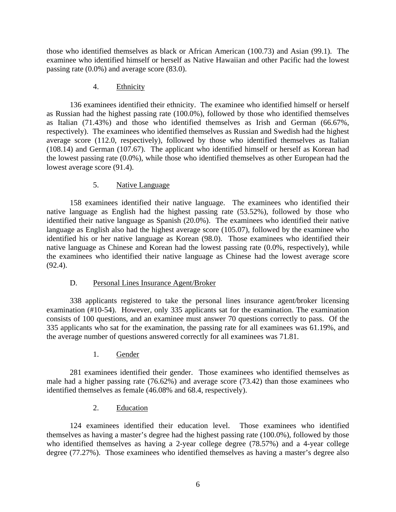those who identified themselves as black or African American (100.73) and Asian (99.1). The examinee who identified himself or herself as Native Hawaiian and other Pacific had the lowest passing rate (0.0%) and average score (83.0).

## 4. Ethnicity

 136 examinees identified their ethnicity. The examinee who identified himself or herself as Russian had the highest passing rate (100.0%), followed by those who identified themselves as Italian (71.43%) and those who identified themselves as Irish and German (66.67%, respectively). The examinees who identified themselves as Russian and Swedish had the highest average score (112.0, respectively), followed by those who identified themselves as Italian (108.14) and German (107.67). The applicant who identified himself or herself as Korean had the lowest passing rate (0.0%), while those who identified themselves as other European had the lowest average score (91.4).

# 5. Native Language

158 examinees identified their native language. The examinees who identified their native language as English had the highest passing rate (53.52%), followed by those who identified their native language as Spanish (20.0%). The examinees who identified their native language as English also had the highest average score (105.07), followed by the examinee who identified his or her native language as Korean (98.0). Those examinees who identified their native language as Chinese and Korean had the lowest passing rate (0.0%, respectively), while the examinees who identified their native language as Chinese had the lowest average score  $(92.4)$ .

# D. Personal Lines Insurance Agent/Broker

 338 applicants registered to take the personal lines insurance agent/broker licensing examination (#10-54). However, only 335 applicants sat for the examination. The examination consists of 100 questions, and an examinee must answer 70 questions correctly to pass. Of the 335 applicants who sat for the examination, the passing rate for all examinees was 61.19%, and the average number of questions answered correctly for all examinees was 71.81.

# 1. Gender

 281 examinees identified their gender. Those examinees who identified themselves as male had a higher passing rate (76.62%) and average score (73.42) than those examinees who identified themselves as female (46.08% and 68.4, respectively).

# 2. Education

 124 examinees identified their education level. Those examinees who identified themselves as having a master's degree had the highest passing rate (100.0%), followed by those who identified themselves as having a 2-year college degree (78.57%) and a 4-year college degree (77.27%). Those examinees who identified themselves as having a master's degree also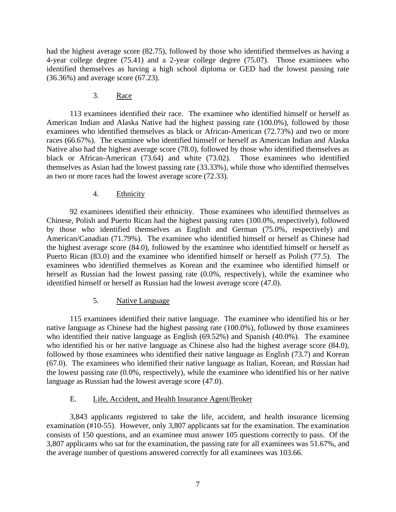had the highest average score (82.75), followed by those who identified themselves as having a 4-year college degree (75.41) and a 2-year college degree (75.07). Those examinees who identified themselves as having a high school diploma or GED had the lowest passing rate (36.36%) and average score (67.23).

#### 3. Race

 113 examinees identified their race. The examinee who identified himself or herself as American Indian and Alaska Native had the highest passing rate (100.0%), followed by those examinees who identified themselves as black or African-American (72.73%) and two or more races (66.67%). The examinee who identified himself or herself as American Indian and Alaska Native also had the highest average score (78.0), followed by those who identified themselves as black or African-American (73.64) and white (73.02). Those examinees who identified themselves as Asian had the lowest passing rate (33.33%), while those who identified themselves as two or more races had the lowest average score (72.33).

## 4. Ethnicity

 92 examinees identified their ethnicity. Those examinees who identified themselves as Chinese, Polish and Puerto Rican had the highest passing rates (100.0%, respectively), followed by those who identified themselves as English and German (75.0%, respectively) and American/Canadian (71.79%). The examinee who identified himself or herself as Chinese had the highest average score (84.0), followed by the examinee who identified himself or herself as Puerto Rican (83.0) and the examinee who identified himself or herself as Polish (77.5). The examinees who identified themselves as Korean and the examinee who identified himself or herself as Russian had the lowest passing rate (0.0%, respectively), while the examinee who identified himself or herself as Russian had the lowest average score (47.0).

# 5. Native Language

 115 examinees identified their native language. The examinee who identified his or her native language as Chinese had the highest passing rate (100.0%), followed by those examinees who identified their native language as English (69.52%) and Spanish (40.0%). The examinee who identified his or her native language as Chinese also had the highest average score (84.0), followed by those examinees who identified their native language as English (73.7) and Korean (67.0). The examinees who identified their native language as Italian, Korean, and Russian had the lowest passing rate (0.0%, respectively), while the examinee who identified his or her native language as Russian had the lowest average score (47.0).

# E. Life, Accident, and Health Insurance Agent/Broker

 3,843 applicants registered to take the life, accident, and health insurance licensing examination (#10-55). However, only 3,807 applicants sat for the examination. The examination consists of 150 questions, and an examinee must answer 105 questions correctly to pass. Of the 3,807 applicants who sat for the examination, the passing rate for all examinees was 51.67%, and the average number of questions answered correctly for all examinees was 103.66.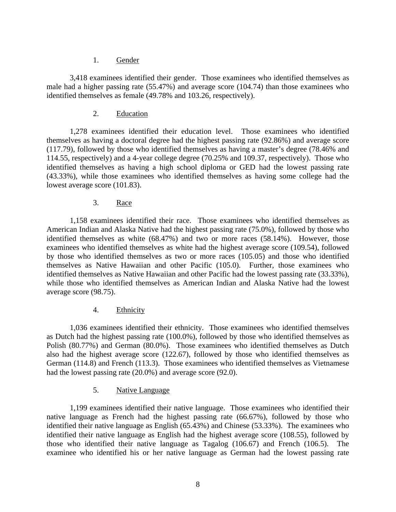#### 1. Gender

 3,418 examinees identified their gender. Those examinees who identified themselves as male had a higher passing rate (55.47%) and average score (104.74) than those examinees who identified themselves as female (49.78% and 103.26, respectively).

#### 2. Education

 1,278 examinees identified their education level. Those examinees who identified themselves as having a doctoral degree had the highest passing rate (92.86%) and average score (117.79), followed by those who identified themselves as having a master's degree (78.46% and 114.55, respectively) and a 4-year college degree (70.25% and 109.37, respectively). Those who identified themselves as having a high school diploma or GED had the lowest passing rate (43.33%), while those examinees who identified themselves as having some college had the lowest average score (101.83).

#### 3. Race

 1,158 examinees identified their race. Those examinees who identified themselves as American Indian and Alaska Native had the highest passing rate (75.0%), followed by those who identified themselves as white (68.47%) and two or more races (58.14%). However, those examinees who identified themselves as white had the highest average score (109.54), followed by those who identified themselves as two or more races (105.05) and those who identified themselves as Native Hawaiian and other Pacific (105.0). Further, those examinees who identified themselves as Native Hawaiian and other Pacific had the lowest passing rate (33.33%), while those who identified themselves as American Indian and Alaska Native had the lowest average score (98.75).

#### 4. Ethnicity

 1,036 examinees identified their ethnicity. Those examinees who identified themselves as Dutch had the highest passing rate (100.0%), followed by those who identified themselves as Polish (80.77%) and German (80.0%). Those examinees who identified themselves as Dutch also had the highest average score (122.67), followed by those who identified themselves as German (114.8) and French (113.3). Those examinees who identified themselves as Vietnamese had the lowest passing rate (20.0%) and average score (92.0).

#### 5. Native Language

1,199 examinees identified their native language. Those examinees who identified their native language as French had the highest passing rate (66.67%), followed by those who identified their native language as English (65.43%) and Chinese (53.33%). The examinees who identified their native language as English had the highest average score (108.55), followed by those who identified their native language as Tagalog (106.67) and French (106.5). The examinee who identified his or her native language as German had the lowest passing rate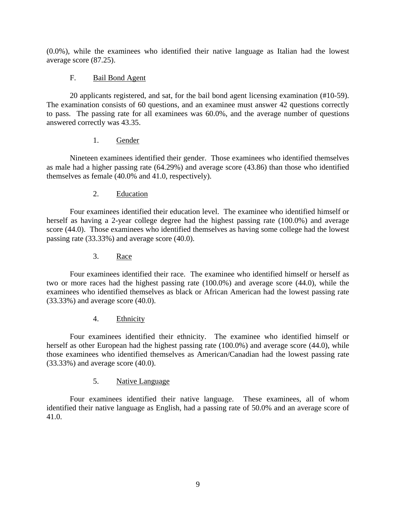(0.0%), while the examinees who identified their native language as Italian had the lowest average score (87.25).

# F. Bail Bond Agent

 20 applicants registered, and sat, for the bail bond agent licensing examination (#10-59). The examination consists of 60 questions, and an examinee must answer 42 questions correctly to pass. The passing rate for all examinees was 60.0%, and the average number of questions answered correctly was 43.35.

## 1. Gender

 Nineteen examinees identified their gender. Those examinees who identified themselves as male had a higher passing rate (64.29%) and average score (43.86) than those who identified themselves as female (40.0% and 41.0, respectively).

2. Education

 Four examinees identified their education level. The examinee who identified himself or herself as having a 2-year college degree had the highest passing rate (100.0%) and average score (44.0). Those examinees who identified themselves as having some college had the lowest passing rate (33.33%) and average score (40.0).

3. Race

 Four examinees identified their race. The examinee who identified himself or herself as two or more races had the highest passing rate (100.0%) and average score (44.0), while the examinees who identified themselves as black or African American had the lowest passing rate (33.33%) and average score (40.0).

4. Ethnicity

 Four examinees identified their ethnicity. The examinee who identified himself or herself as other European had the highest passing rate (100.0%) and average score (44.0), while those examinees who identified themselves as American/Canadian had the lowest passing rate (33.33%) and average score (40.0).

#### 5. Native Language

 Four examinees identified their native language. These examinees, all of whom identified their native language as English, had a passing rate of 50.0% and an average score of 41.0.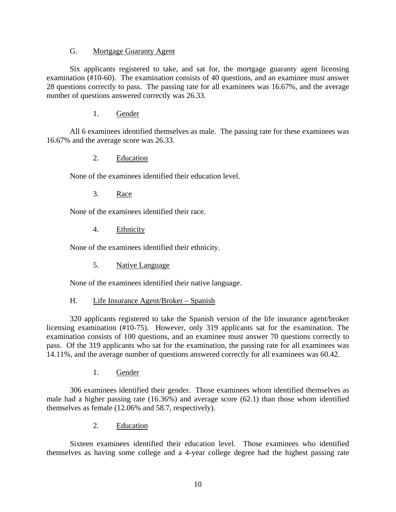#### G. Mortgage Guaranty Agent

 Six applicants registered to take, and sat for, the mortgage guaranty agent licensing examination (#10-60). The examination consists of 40 questions, and an examinee must answer 28 questions correctly to pass. The passing rate for all examinees was 16.67%, and the average number of questions answered correctly was 26.33.

1. Gender

 All 6 examinees identified themselves as male. The passing rate for these examinees was 16.67% and the average score was 26.33.

2. Education

None of the examinees identified their education level.

3. Race

None of the examinees identified their race.

4. Ethnicity

None of the examinees identified their ethnicity.

5. Native Language

None of the examinees identified their native language.

H. Life Insurance Agent/Broker – Spanish

 320 applicants registered to take the Spanish version of the life insurance agent/broker licensing examination (#10-75). However, only 319 applicants sat for the examination. The examination consists of 100 questions, and an examinee must answer 70 questions correctly to pass. Of the 319 applicants who sat for the examination, the passing rate for all examinees was 14.11%, and the average number of questions answered correctly for all examinees was 60.42.

1. Gender

 306 examinees identified their gender. Those examinees whom identified themselves as male had a higher passing rate (16.36%) and average score (62.1) than those whom identified themselves as female (12.06% and 58.7, respectively).

2. Education

 Sixteen examinees identified their education level. Those examinees who identified themselves as having some college and a 4-year college degree had the highest passing rate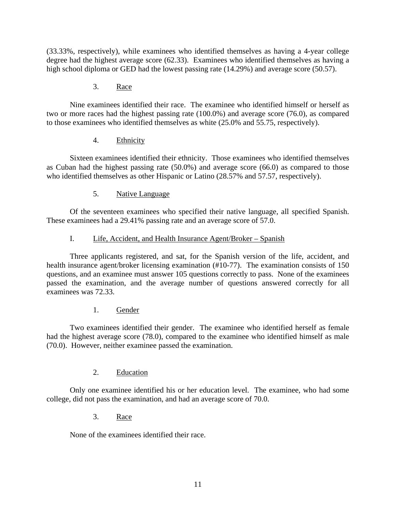(33.33%, respectively), while examinees who identified themselves as having a 4-year college degree had the highest average score (62.33). Examinees who identified themselves as having a high school diploma or GED had the lowest passing rate (14.29%) and average score (50.57).

## 3. Race

 Nine examinees identified their race. The examinee who identified himself or herself as two or more races had the highest passing rate (100.0%) and average score (76.0), as compared to those examinees who identified themselves as white (25.0% and 55.75, respectively).

## 4. Ethnicity

 Sixteen examinees identified their ethnicity. Those examinees who identified themselves as Cuban had the highest passing rate (50.0%) and average score (66.0) as compared to those who identified themselves as other Hispanic or Latino (28.57% and 57.57, respectively).

## 5. Native Language

Of the seventeen examinees who specified their native language, all specified Spanish. These examinees had a 29.41% passing rate and an average score of 57.0.

## I. Life, Accident, and Health Insurance Agent/Broker – Spanish

 Three applicants registered, and sat, for the Spanish version of the life, accident, and health insurance agent/broker licensing examination (#10-77). The examination consists of 150 questions, and an examinee must answer 105 questions correctly to pass. None of the examinees passed the examination, and the average number of questions answered correctly for all examinees was 72.33.

#### 1. Gender

 Two examinees identified their gender. The examinee who identified herself as female had the highest average score (78.0), compared to the examinee who identified himself as male (70.0). However, neither examinee passed the examination.

# 2. Education

 Only one examinee identified his or her education level. The examinee, who had some college, did not pass the examination, and had an average score of 70.0.

#### 3. Race

None of the examinees identified their race.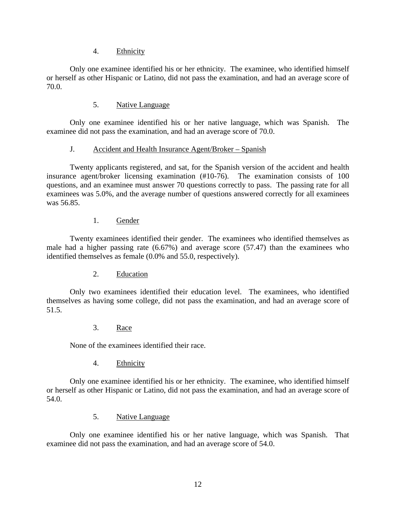## 4. Ethnicity

 Only one examinee identified his or her ethnicity. The examinee, who identified himself or herself as other Hispanic or Latino, did not pass the examination, and had an average score of 70.0.

## 5. Native Language

Only one examinee identified his or her native language, which was Spanish. The examinee did not pass the examination, and had an average score of 70.0.

## J. Accident and Health Insurance Agent/Broker – Spanish

 Twenty applicants registered, and sat, for the Spanish version of the accident and health insurance agent/broker licensing examination (#10-76). The examination consists of 100 questions, and an examinee must answer 70 questions correctly to pass. The passing rate for all examinees was 5.0%, and the average number of questions answered correctly for all examinees was 56.85.

## 1. Gender

 Twenty examinees identified their gender. The examinees who identified themselves as male had a higher passing rate (6.67%) and average score (57.47) than the examinees who identified themselves as female (0.0% and 55.0, respectively).

#### 2. Education

 Only two examinees identified their education level. The examinees, who identified themselves as having some college, did not pass the examination, and had an average score of 51.5.

#### 3. Race

None of the examinees identified their race.

4. Ethnicity

 Only one examinee identified his or her ethnicity. The examinee, who identified himself or herself as other Hispanic or Latino, did not pass the examination, and had an average score of 54.0.

#### 5. Native Language

Only one examinee identified his or her native language, which was Spanish. That examinee did not pass the examination, and had an average score of 54.0.